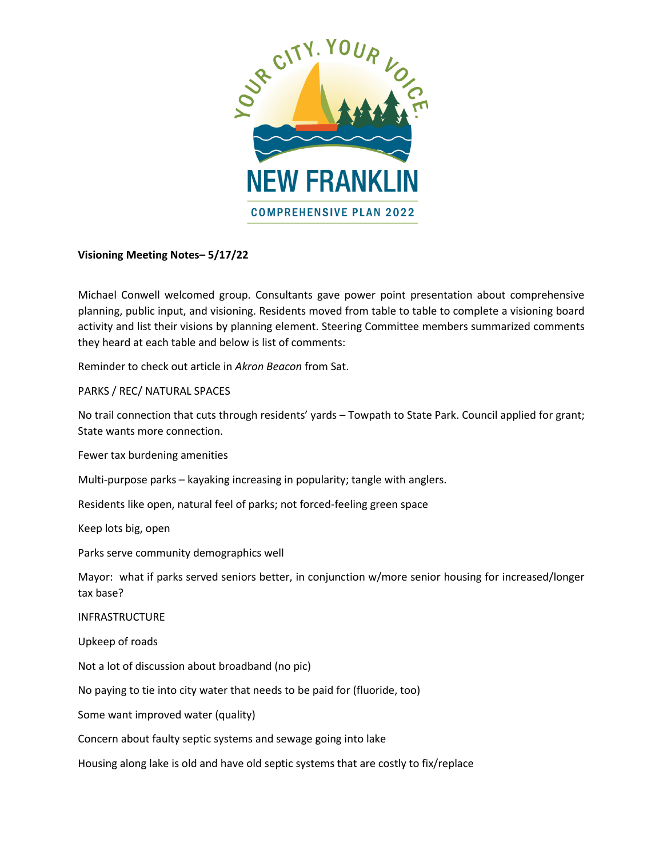

## **Visioning Meeting Notes– 5/17/22**

Michael Conwell welcomed group. Consultants gave power point presentation about comprehensive planning, public input, and visioning. Residents moved from table to table to complete a visioning board activity and list their visions by planning element. Steering Committee members summarized comments they heard at each table and below is list of comments:

Reminder to check out article in *Akron Beacon* from Sat.

PARKS / REC/ NATURAL SPACES

No trail connection that cuts through residents' yards – Towpath to State Park. Council applied for grant; State wants more connection.

Fewer tax burdening amenities

Multi-purpose parks – kayaking increasing in popularity; tangle with anglers.

Residents like open, natural feel of parks; not forced-feeling green space

Keep lots big, open

Parks serve community demographics well

Mayor: what if parks served seniors better, in conjunction w/more senior housing for increased/longer tax base?

INFRASTRUCTURE

Upkeep of roads

Not a lot of discussion about broadband (no pic)

No paying to tie into city water that needs to be paid for (fluoride, too)

Some want improved water (quality)

Concern about faulty septic systems and sewage going into lake

Housing along lake is old and have old septic systems that are costly to fix/replace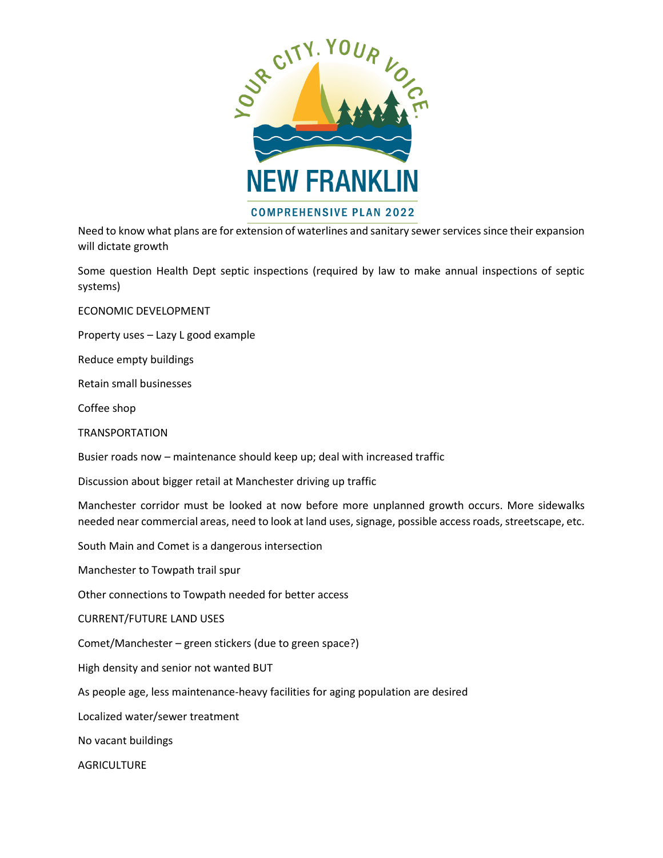

Need to know what plans are for extension of waterlines and sanitary sewer services since their expansion will dictate growth

Some question Health Dept septic inspections (required by law to make annual inspections of septic systems)

ECONOMIC DEVELOPMENT

Property uses – Lazy L good example

Reduce empty buildings

Retain small businesses

Coffee shop

TRANSPORTATION

Busier roads now – maintenance should keep up; deal with increased traffic

Discussion about bigger retail at Manchester driving up traffic

Manchester corridor must be looked at now before more unplanned growth occurs. More sidewalks needed near commercial areas, need to look at land uses, signage, possible access roads, streetscape, etc.

South Main and Comet is a dangerous intersection

Manchester to Towpath trail spur

Other connections to Towpath needed for better access

CURRENT/FUTURE LAND USES

Comet/Manchester – green stickers (due to green space?)

High density and senior not wanted BUT

As people age, less maintenance-heavy facilities for aging population are desired

Localized water/sewer treatment

No vacant buildings

**AGRICULTURE**